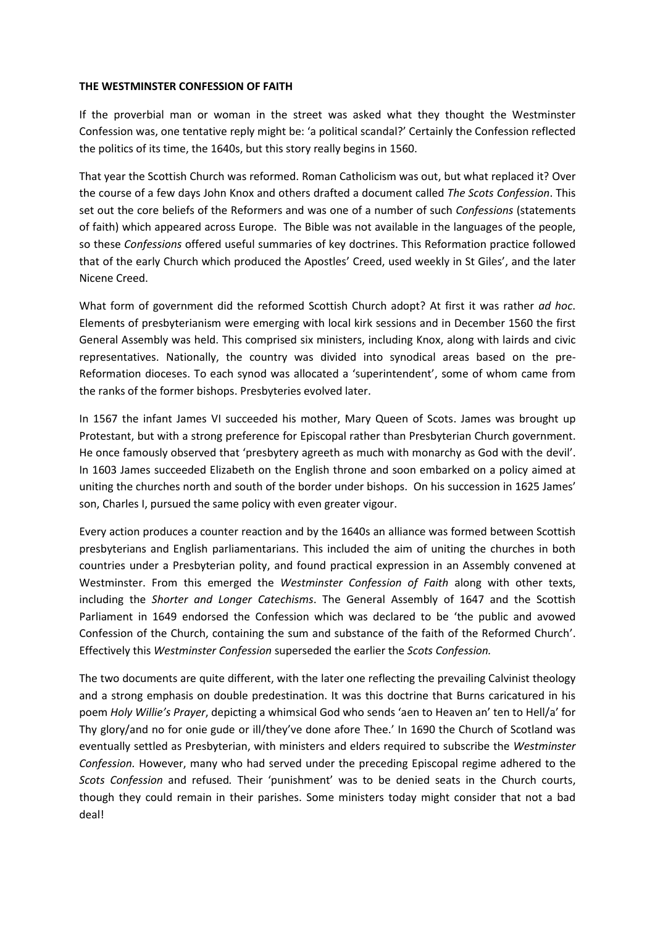## **THE WESTMINSTER CONFESSION OF FAITH**

If the proverbial man or woman in the street was asked what they thought the Westminster Confession was, one tentative reply might be: 'a political scandal?' Certainly the Confession reflected the politics of its time, the 1640s, but this story really begins in 1560.

That year the Scottish Church was reformed. Roman Catholicism was out, but what replaced it? Over the course of a few days John Knox and others drafted a document called *The Scots Confession*. This set out the core beliefs of the Reformers and was one of a number of such *Confessions* (statements of faith) which appeared across Europe. The Bible was not available in the languages of the people, so these *Confessions* offered useful summaries of key doctrines. This Reformation practice followed that of the early Church which produced the Apostles' Creed, used weekly in St Giles', and the later Nicene Creed.

What form of government did the reformed Scottish Church adopt? At first it was rather *ad hoc*. Elements of presbyterianism were emerging with local kirk sessions and in December 1560 the first General Assembly was held. This comprised six ministers, including Knox, along with lairds and civic representatives. Nationally, the country was divided into synodical areas based on the pre-Reformation dioceses. To each synod was allocated a 'superintendent', some of whom came from the ranks of the former bishops. Presbyteries evolved later.

In 1567 the infant James VI succeeded his mother, Mary Queen of Scots. James was brought up Protestant, but with a strong preference for Episcopal rather than Presbyterian Church government. He once famously observed that 'presbytery agreeth as much with monarchy as God with the devil'. In 1603 James succeeded Elizabeth on the English throne and soon embarked on a policy aimed at uniting the churches north and south of the border under bishops. On his succession in 1625 James' son, Charles I, pursued the same policy with even greater vigour.

Every action produces a counter reaction and by the 1640s an alliance was formed between Scottish presbyterians and English parliamentarians. This included the aim of uniting the churches in both countries under a Presbyterian polity, and found practical expression in an Assembly convened at Westminster. From this emerged the *Westminster Confession of Faith* along with other texts, including the *Shorter and Longer Catechisms*. The General Assembly of 1647 and the Scottish Parliament in 1649 endorsed the Confession which was declared to be 'the public and avowed Confession of the Church, containing the sum and substance of the faith of the Reformed Church'. Effectively this *Westminster Confession* superseded the earlier the *Scots Confession.*

The two documents are quite different, with the later one reflecting the prevailing Calvinist theology and a strong emphasis on double predestination. It was this doctrine that Burns caricatured in his poem *Holy Willie's Prayer*, depicting a whimsical God who sends 'aen to Heaven an' ten to Hell/a' for Thy glory/and no for onie gude or ill/they've done afore Thee.' In 1690 the Church of Scotland was eventually settled as Presbyterian, with ministers and elders required to subscribe the *Westminster Confession.* However, many who had served under the preceding Episcopal regime adhered to the *Scots Confession* and refused*.* Their 'punishment' was to be denied seats in the Church courts, though they could remain in their parishes. Some ministers today might consider that not a bad deal!